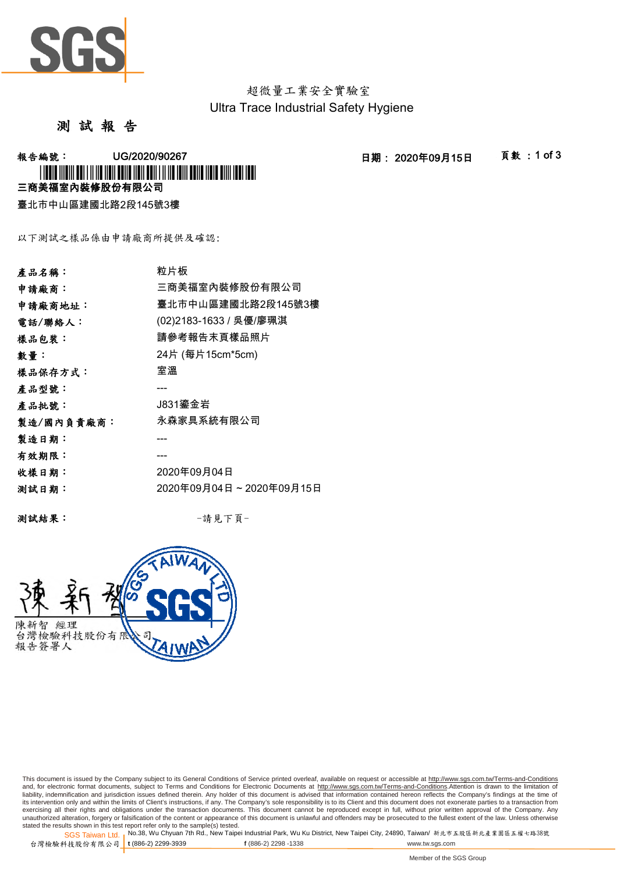

超微量工業安全實驗室 Ultra Trace Industrial Safety Hygiene

### 測 試 報 告

**報告編號: UG/2020/90267 - 2020年09月15日 - 東告編號: 1 of 3** 

三商美福室內裝修股份有限公司 \* I TO OUR TITLE OF A THE TITLE OF A GIVE THAT ON A 19 YO 10 YO 10 YO 10 YO 10 YO 10 YO 10

臺北市中山區建國北路2段145號3樓

以下測試之樣品係由申請廠商所提供及確認:

| 產品名稱:      | 粒片板                     |
|------------|-------------------------|
| 申請廠商:      | 三商美福室內裝修股份有限公司          |
| 申請廠商地址:    | 臺北市中山區建國北路2段145號3樓      |
| 電話/聯絡人:    | (02)2183-1633 / 吳優/廖珮淇  |
| 樣品包裝:      | 請參考報告末頁樣品照片             |
| 數量:        | 24片 (每片15cm*5cm)        |
| 樣品保存方式:    | 室溫                      |
| 產品型號:      |                         |
| 產品批號:      | J831鎏金岩                 |
| 製造/國內負責廠商: | 永森家具系統有限公司              |
| 製造日期:      |                         |
| 有效期限:      |                         |
| 收樣日期:      | 2020年09月04日             |
| 測試日期:      | 2020年09月04日~2020年09月15日 |
|            |                         |

測試結果: -請見下頁-



This document is issued by the Company subject to its General Conditions of Service printed overleaf, available on request or accessible at <u>http://www.sgs.com.tw/Terms-and-Conditions</u><br>and, for electronic format documents, its intervention only and within the limits of Client's instructions, if any. The Company's sole responsibility is to its Client and this document does not exonerate parties to a transaction from<br>exercising all their right unauthorized alteration, forgery or falsification of the content or appearance of this document is unlawful and offenders may be prosecuted to the fullest extent of the law. Unless otherwise stated the results shown in this test report refer only to the sample(s) tested.<br>SGS Taiwan Ltd.,No.38, Wu Chyuan 7th Rd., New Taipei Industrial Park, Wu Ku District, New Taipei City, 24890, Taiwan/ 新北市五股區新北產業園區五權七路38號

SGS Taiwan Ltd. 1 台灣檢驗科技股份有限公司 t (886-2) 2299-3939 **t** (886-2) 2299-3939 **f** (886-2) 2298 -1338 www.tw.sgs.com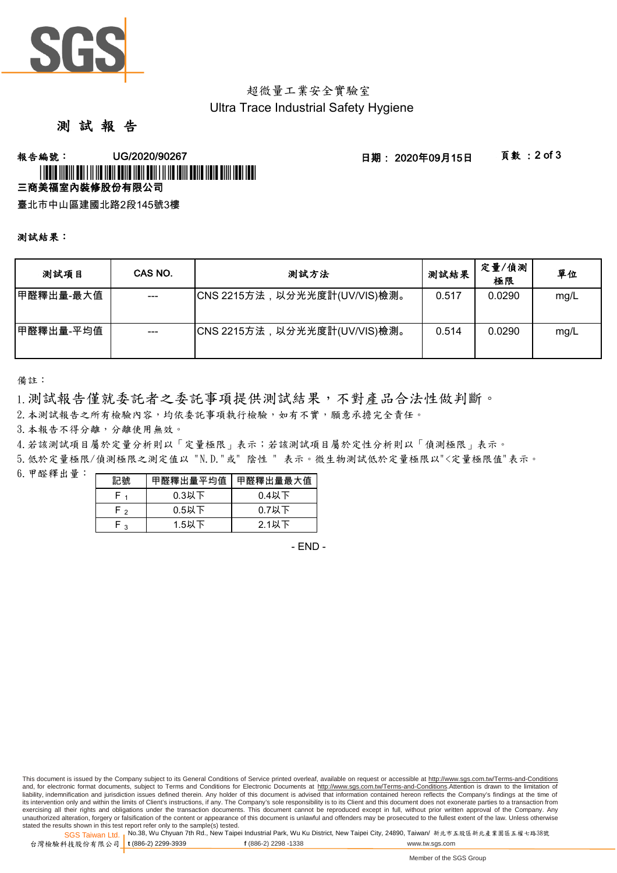

# 超微量工業安全實驗室 Ultra Trace Industrial Safety Hygiene

# 測 試 報 告

### **報告編號: UG/2020/90267 - 2020年09月15日 - 夏敦:2 of 3** 三商美福室內裝修股份有限公司 \* LOUIS AND LOUIS AND LAND AND DURING AND LOUIS AND LOUIS AND A DAILY AND LOUIS AND

臺北市中山區建國北路2段145號3樓

#### 測試結果:

| 测試項目       | CAS NO. | 測試方法                         | 測試結果  | 定量/偵測<br>極限 | 單位   |
|------------|---------|------------------------------|-------|-------------|------|
| ┃甲醛釋出量-最大值 | $---$   | CNS 2215方法,以分光光度計(UV/VIS)檢測。 | 0.517 | 0.0290      | mg/L |
| ┃甲醛釋出量-平均值 |         | CNS 2215方法,以分光光度計(UV/VIS)檢測。 | 0.514 | 0.0290      | mg/L |

備註:

1.測試報告僅就委託者之委託事項提供測試結果,不對產品合法性做判斷。

2.本測試報告之所有檢驗內容,均依委託事項執行檢驗,如有不實,願意承擔完全責任。

3. 本報告不得分離,分離使用無效。

4.若該測試項目屬於定量分析則以「定量極限」表示;若該測試項目屬於定性分析則以「偵測極限」表示。

5.低於定量極限/偵測極限之測定值以 "N.D."或" 陰性 " 表示。微生物測試低於定量極限以"<定量極限值"表示。

 $6.$  甲醛釋出量: 一

| 記號              | 甲醛釋出量平均值 | 甲醛釋出量最大值 |  |
|-----------------|----------|----------|--|
|                 | $0.3$ 以下 | $0.4$ 以下 |  |
| $0.5$ 以下<br>⊸ ⊢ |          | $0.7$ 以下 |  |
| ່ າ             | $1.5$ 以下 | 2.1以下    |  |

- END -

This document is issued by the Company subject to its General Conditions of Service printed overleaf, available on request or accessible at http://www.sgs.com.tw/Terms-and-Conditions and, for electronic format documents, subject to Terms and Conditions for Electronic Documents at http://www.sgs.com.tw/Terms-and-Conditions.Attention is drawn to the limitation of liability, indemnification and jurisdiction issues defined therein. Any holder of this document is advised that information contained hereon reflects the Company's findings at the time of its intervention only and within the limits of Client's instructions, if any. The Company's sole responsibility is to its Client and this document does not exonerate parties to a transaction from exercising all their rights and obligations under the transaction documents. This document cannot be reproduced except in full, without prior written approval of the Company. Any unauthorized alteration, forgery or falsification of the content or appearance of this document is unlawful and offenders may be prosecuted to the fullest extent of the law. Unless otherwise stated the results shown in this test report refer only to the sample(s) tested.

SGS Taiwan Ltd. <sub>I</sub>No.38, Wu Chyuan 7th Rd., New Taipei Industrial Park, Wu Ku District, New Taipei City, 24890, Taiwan/ 新北市五股區新北產業園區五權七路38號 台灣檢驗科技股份有限公司 t (886-2) 2299-3939 **t** (886-2) 2299-3939 **f** (886-2) 2298 -1338 www.tw.sgs.com